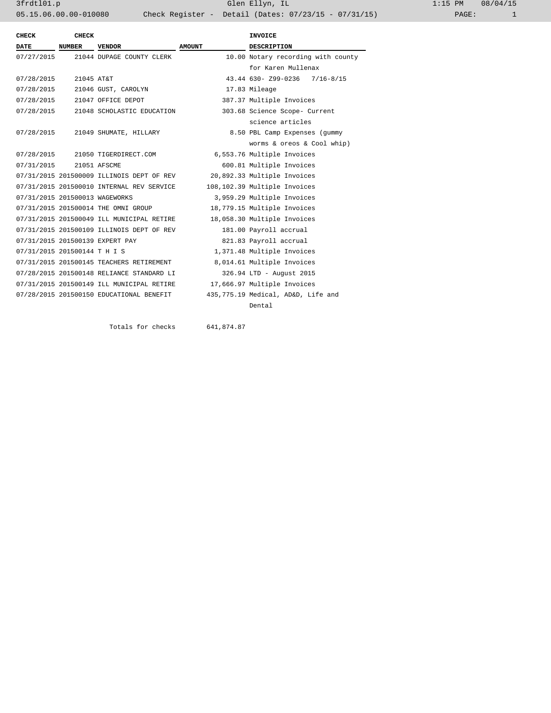| CHECK                          | <b>CHECK</b>  |                                           |               | <b>INVOICE</b>                     |  |
|--------------------------------|---------------|-------------------------------------------|---------------|------------------------------------|--|
| <b>DATE</b>                    | <b>NUMBER</b> | <b>VENDOR</b>                             | <b>AMOUNT</b> | <b>DESCRIPTION</b>                 |  |
| 07/27/2015                     |               | 21044 DUPAGE COUNTY CLERK                 |               | 10.00 Notary recording with county |  |
|                                |               |                                           |               | for Karen Mullenax                 |  |
| 07/28/2015                     | 21045 AT&T    |                                           |               | 43.44 630- Z99-0236 7/16-8/15      |  |
| 07/28/2015                     |               | 21046 GUST, CAROLYN                       |               | 17.83 Mileage                      |  |
| 07/28/2015                     |               | 21047 OFFICE DEPOT                        |               | 387.37 Multiple Invoices           |  |
| 07/28/2015                     |               | 21048 SCHOLASTIC EDUCATION                |               | 303.68 Science Scope- Current      |  |
|                                |               |                                           |               | science articles                   |  |
| 07/28/2015                     |               | 21049 SHUMATE, HILLARY                    |               | 8.50 PBL Camp Expenses (gummy      |  |
|                                |               |                                           |               | worms & oreos & Cool whip)         |  |
|                                |               | 07/28/2015 21050 TIGERDIRECT.COM          |               | 6,553.76 Multiple Invoices         |  |
| 07/31/2015 21051 AFSCME        |               |                                           |               | 600.81 Multiple Invoices           |  |
|                                |               | 07/31/2015 201500009 ILLINOIS DEPT OF REV |               | 20,892.33 Multiple Invoices        |  |
|                                |               | 07/31/2015 201500010 INTERNAL REV SERVICE |               | 108,102.39 Multiple Invoices       |  |
| 07/31/2015 201500013 WAGEWORKS |               |                                           |               | 3,959.29 Multiple Invoices         |  |
|                                |               | 07/31/2015 201500014 THE OMNI GROUP       |               | 18,779.15 Multiple Invoices        |  |
|                                |               | 07/31/2015 201500049 ILL MUNICIPAL RETIRE |               | 18,058.30 Multiple Invoices        |  |
|                                |               | 07/31/2015 201500109 ILLINOIS DEPT OF REV |               | 181.00 Payroll accrual             |  |
|                                |               | 07/31/2015 201500139 EXPERT PAY           |               | 821.83 Payroll accrual             |  |
| 07/31/2015 201500144 T H I S   |               |                                           |               | 1,371.48 Multiple Invoices         |  |
|                                |               | 07/31/2015 201500145 TEACHERS RETIREMENT  |               | 8,014.61 Multiple Invoices         |  |
|                                |               | 07/28/2015 201500148 RELIANCE STANDARD LI |               | 326.94 LTD - August 2015           |  |
|                                |               | 07/31/2015 201500149 ILL MUNICIPAL RETIRE |               | 17,666.97 Multiple Invoices        |  |
|                                |               | 07/28/2015 201500150 EDUCATIONAL BENEFIT  |               | 435,775.19 Medical, AD&D, Life and |  |
|                                |               |                                           |               | Dental                             |  |
|                                |               |                                           |               |                                    |  |

Totals for checks 641,874.87